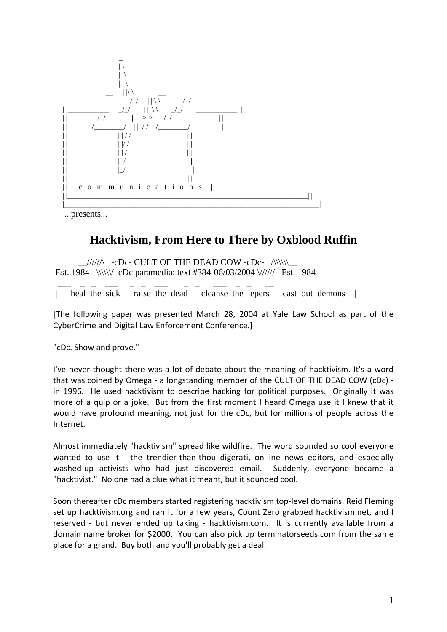

...presents...

## **Hacktivism, From Here to There by Oxblood Ruffin**

 $\frac{1}{\sqrt{2}}$  -cDc- CULT OF THE DEAD COW -cDc-  $\wedge$ Est. 1984 \\\\\\/ cDc paramedia: text #384-06/03/2004 \////// Est. 1984

 $\overline{\phantom{a}}$  , and  $\overline{\phantom{a}}$  , and  $\overline{\phantom{a}}$  , and  $\overline{\phantom{a}}$  , and  $\overline{\phantom{a}}$ | heal the sick\_raise\_the\_dead\_\_cleanse\_the\_lepers\_cast\_out\_demons\_|

[The following paper was presented March 28, 2004 at Yale Law School as part of the CyberCrime and Digital Law Enforcement Conference.]

"cDc. Show and prove."

I've never thought there was a lot of debate about the meaning of hacktivism. It's a word that was coined by Omega ‐ a longstanding member of the CULT OF THE DEAD COW (cDc) ‐ in 1996. He used hacktivism to describe hacking for political purposes. Originally it was more of a quip or a joke. But from the first moment I heard Omega use it I knew that it would have profound meaning, not just for the cDc, but for millions of people across the Internet.

Almost immediately "hacktivism" spread like wildfire. The word sounded so cool everyone wanted to use it - the trendier-than-thou digerati, on-line news editors, and especially washed-up activists who had just discovered email. Suddenly, everyone became a "hacktivist." No one had a clue what it meant, but it sounded cool.

Soon thereafter cDc members started registering hacktivism top‐level domains. Reid Fleming set up hacktivism.org and ran it for a few years, Count Zero grabbed hacktivism.net, and I reserved - but never ended up taking - hacktivism.com. It is currently available from a domain name broker for \$2000. You can also pick up terminatorseeds.com from the same place for a grand. Buy both and you'll probably get a deal.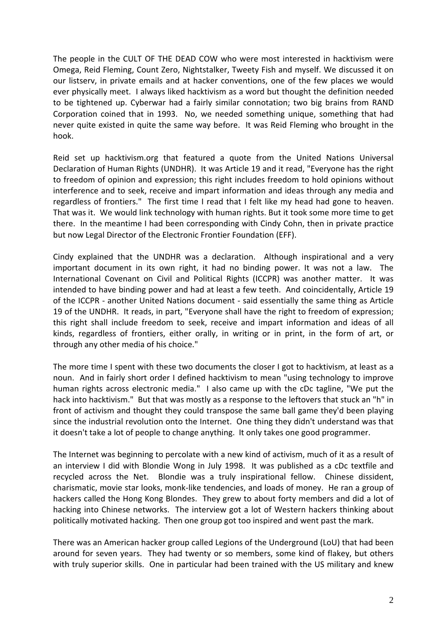The people in the CULT OF THE DEAD COW who were most interested in hacktivism were Omega, Reid Fleming, Count Zero, Nightstalker, Tweety Fish and myself. We discussed it on our listserv, in private emails and at hacker conventions, one of the few places we would ever physically meet. I always liked hacktivism as a word but thought the definition needed to be tightened up. Cyberwar had a fairly similar connotation; two big brains from RAND Corporation coined that in 1993. No, we needed something unique, something that had never quite existed in quite the same way before. It was Reid Fleming who brought in the hook.

Reid set up hacktivism.org that featured a quote from the United Nations Universal Declaration of Human Rights (UNDHR). It was Article 19 and it read, "Everyone has the right to freedom of opinion and expression; this right includes freedom to hold opinions without interference and to seek, receive and impart information and ideas through any media and regardless of frontiers." The first time I read that I felt like my head had gone to heaven. That was it. We would link technology with human rights. But it took some more time to get there. In the meantime I had been corresponding with Cindy Cohn, then in private practice but now Legal Director of the Electronic Frontier Foundation (EFF).

Cindy explained that the UNDHR was a declaration. Although inspirational and a very important document in its own right, it had no binding power. It was not a law. The International Covenant on Civil and Political Rights (ICCPR) was another matter. It was intended to have binding power and had at least a few teeth. And coincidentally, Article 19 of the ICCPR ‐ another United Nations document ‐ said essentially the same thing as Article 19 of the UNDHR. It reads, in part, "Everyone shall have the right to freedom of expression; this right shall include freedom to seek, receive and impart information and ideas of all kinds, regardless of frontiers, either orally, in writing or in print, in the form of art, or through any other media of his choice."

The more time I spent with these two documents the closer I got to hacktivism, at least as a noun. And in fairly short order I defined hacktivism to mean "using technology to improve human rights across electronic media." I also came up with the cDc tagline, "We put the hack into hacktivism." But that was mostly as a response to the leftovers that stuck an "h" in front of activism and thought they could transpose the same ball game they'd been playing since the industrial revolution onto the Internet. One thing they didn't understand was that it doesn't take a lot of people to change anything. It only takes one good programmer.

The Internet was beginning to percolate with a new kind of activism, much of it as a result of an interview I did with Blondie Wong in July 1998. It was published as a cDc textfile and recycled across the Net. Blondie was a truly inspirational fellow. Chinese dissident, charismatic, movie star looks, monk‐like tendencies, and loads of money. He ran a group of hackers called the Hong Kong Blondes. They grew to about forty members and did a lot of hacking into Chinese networks. The interview got a lot of Western hackers thinking about politically motivated hacking. Then one group got too inspired and went past the mark.

There was an American hacker group called Legions of the Underground (LoU) that had been around for seven years. They had twenty or so members, some kind of flakey, but others with truly superior skills. One in particular had been trained with the US military and knew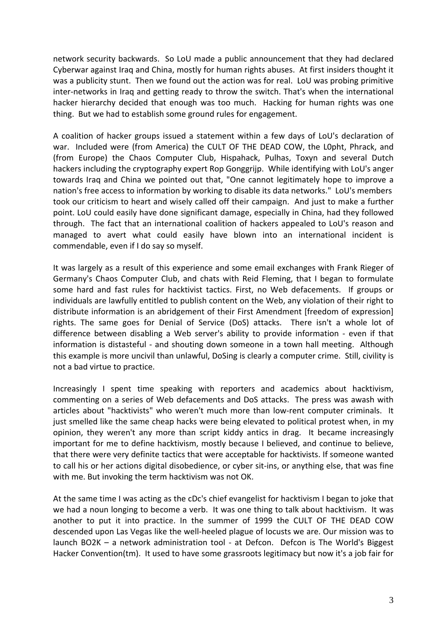network security backwards. So LoU made a public announcement that they had declared Cyberwar against Iraq and China, mostly for human rights abuses. At first insiders thought it was a publicity stunt. Then we found out the action was for real. LoU was probing primitive inter‐networks in Iraq and getting ready to throw the switch. That's when the international hacker hierarchy decided that enough was too much. Hacking for human rights was one thing. But we had to establish some ground rules for engagement.

A coalition of hacker groups issued a statement within a few days of LoU's declaration of war. Included were (from America) the CULT OF THE DEAD COW, the L0pht, Phrack, and (from Europe) the Chaos Computer Club, Hispahack, Pulhas, Toxyn and several Dutch hackers including the cryptography expert Rop Gonggrijp. While identifying with LoU's anger towards Iraq and China we pointed out that, "One cannot legitimately hope to improve a nation's free access to information by working to disable its data networks." LoU's members took our criticism to heart and wisely called off their campaign. And just to make a further point. LoU could easily have done significant damage, especially in China, had they followed through. The fact that an international coalition of hackers appealed to LoU's reason and managed to avert what could easily have blown into an international incident is commendable, even if I do say so myself.

It was largely as a result of this experience and some email exchanges with Frank Rieger of Germany's Chaos Computer Club, and chats with Reid Fleming, that I began to formulate some hard and fast rules for hacktivist tactics. First, no Web defacements. If groups or individuals are lawfully entitled to publish content on the Web, any violation of their right to distribute information is an abridgement of their First Amendment [freedom of expression] rights. The same goes for Denial of Service (DoS) attacks. There isn't a whole lot of difference between disabling a Web server's ability to provide information - even if that information is distasteful - and shouting down someone in a town hall meeting. Although this example is more uncivil than unlawful, DoSing is clearly a computer crime. Still, civility is not a bad virtue to practice.

Increasingly I spent time speaking with reporters and academics about hacktivism, commenting on a series of Web defacements and DoS attacks. The press was awash with articles about "hacktivists" who weren't much more than low-rent computer criminals. It just smelled like the same cheap hacks were being elevated to political protest when, in my opinion, they weren't any more than script kiddy antics in drag. It became increasingly important for me to define hacktivism, mostly because I believed, and continue to believe, that there were very definite tactics that were acceptable for hacktivists. If someone wanted to call his or her actions digital disobedience, or cyber sit‐ins, or anything else, that was fine with me. But invoking the term hacktivism was not OK.

At the same time I was acting as the cDc's chief evangelist for hacktivism I began to joke that we had a noun longing to become a verb. It was one thing to talk about hacktivism. It was another to put it into practice. In the summer of 1999 the CULT OF THE DEAD COW descended upon Las Vegas like the well‐heeled plague of locusts we are. Our mission was to launch BO2K – a network administration tool - at Defcon. Defcon is The World's Biggest Hacker Convention(tm). It used to have some grassroots legitimacy but now it's a job fair for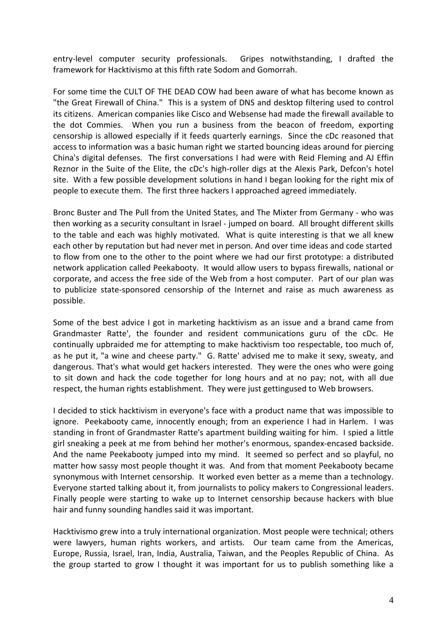entry-level computer security professionals. Gripes notwithstanding, I drafted the framework for Hacktivismo at this fifth rate Sodom and Gomorrah.

For some time the CULT OF THE DEAD COW had been aware of what has become known as "the Great Firewall of China." This is a system of DNS and desktop filtering used to control its citizens. American companies like Cisco and Websense had made the firewall available to the dot Commies. When you run a business from the beacon of freedom, exporting censorship is allowed especially if it feeds quarterly earnings. Since the cDc reasoned that access to information was a basic human right we started bouncing ideas around for piercing China's digital defenses. The first conversations I had were with Reid Fleming and AJ Effin Reznor in the Suite of the Elite, the cDc's high-roller digs at the Alexis Park, Defcon's hotel site. With a few possible development solutions in hand I began looking for the right mix of people to execute them. The first three hackers I approached agreed immediately.

Bronc Buster and The Pull from the United States, and The Mixter from Germany ‐ who was then working as a security consultant in Israel ‐ jumped on board. All brought different skills to the table and each was highly motivated. What is quite interesting is that we all knew each other by reputation but had never met in person. And over time ideas and code started to flow from one to the other to the point where we had our first prototype: a distributed network application called Peekabooty. It would allow users to bypass firewalls, national or corporate, and access the free side of the Web from a host computer. Part of our plan was to publicize state‐sponsored censorship of the Internet and raise as much awareness as possible.

Some of the best advice I got in marketing hacktivism as an issue and a brand came from Grandmaster Ratte', the founder and resident communications guru of the cDc. He continually upbraided me for attempting to make hacktivism too respectable, too much of, as he put it, "a wine and cheese party." G. Ratte' advised me to make it sexy, sweaty, and dangerous. That's what would get hackers interested. They were the ones who were going to sit down and hack the code together for long hours and at no pay; not, with all due respect, the human rights establishment. They were just gettingused to Web browsers.

I decided to stick hacktivism in everyone's face with a product name that was impossible to ignore. Peekabooty came, innocently enough; from an experience I had in Harlem. I was standing in front of Grandmaster Ratte's apartment building waiting for him. I spied a little girl sneaking a peek at me from behind her mother's enormous, spandex‐encased backside. And the name Peekabooty jumped into my mind. It seemed so perfect and so playful, no matter how sassy most people thought it was. And from that moment Peekabooty became synonymous with Internet censorship. It worked even better as a meme than a technology. Everyone started talking about it, from journalists to policy makers to Congressional leaders. Finally people were starting to wake up to Internet censorship because hackers with blue hair and funny sounding handles said it was important.

Hacktivismo grew into a truly international organization. Most people were technical; others were lawyers, human rights workers, and artists. Our team came from the Americas, Europe, Russia, Israel, Iran, India, Australia, Taiwan, and the Peoples Republic of China. As the group started to grow I thought it was important for us to publish something like a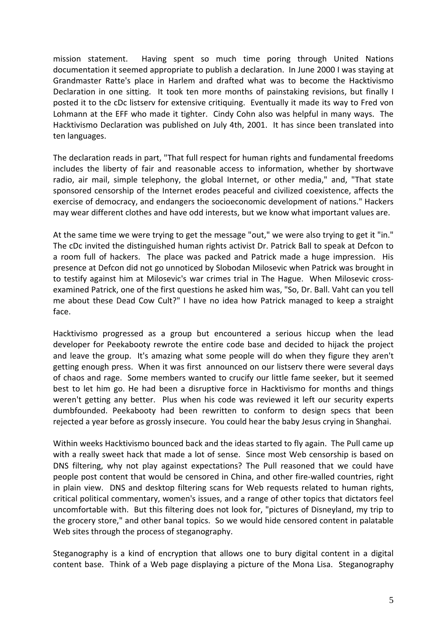mission statement. Having spent so much time poring through United Nations documentation it seemed appropriate to publish a declaration. In June 2000 I was staying at Grandmaster Ratte's place in Harlem and drafted what was to become the Hacktivismo Declaration in one sitting. It took ten more months of painstaking revisions, but finally I posted it to the cDc listserv for extensive critiquing. Eventually it made its way to Fred von Lohmann at the EFF who made it tighter. Cindy Cohn also was helpful in many ways. The Hacktivismo Declaration was published on July 4th, 2001. It has since been translated into ten languages.

The declaration reads in part, "That full respect for human rights and fundamental freedoms includes the liberty of fair and reasonable access to information, whether by shortwave radio, air mail, simple telephony, the global Internet, or other media," and, "That state sponsored censorship of the Internet erodes peaceful and civilized coexistence, affects the exercise of democracy, and endangers the socioeconomic development of nations." Hackers may wear different clothes and have odd interests, but we know what important values are.

At the same time we were trying to get the message "out," we were also trying to get it "in." The cDc invited the distinguished human rights activist Dr. Patrick Ball to speak at Defcon to a room full of hackers. The place was packed and Patrick made a huge impression. His presence at Defcon did not go unnoticed by Slobodan Milosevic when Patrick was brought in to testify against him at Milosevic's war crimes trial in The Hague. When Milosevic cross‐ examined Patrick, one of the first questions he asked him was, "So, Dr. Ball. Vaht can you tell me about these Dead Cow Cult?" I have no idea how Patrick managed to keep a straight face.

Hacktivismo progressed as a group but encountered a serious hiccup when the lead developer for Peekabooty rewrote the entire code base and decided to hijack the project and leave the group. It's amazing what some people will do when they figure they aren't getting enough press. When it was first announced on our listserv there were several days of chaos and rage. Some members wanted to crucify our little fame seeker, but it seemed best to let him go. He had been a disruptive force in Hacktivismo for months and things weren't getting any better. Plus when his code was reviewed it left our security experts dumbfounded. Peekabooty had been rewritten to conform to design specs that been rejected a year before as grossly insecure. You could hear the baby Jesus crying in Shanghai.

Within weeks Hacktivismo bounced back and the ideas started to fly again. The Pull came up with a really sweet hack that made a lot of sense. Since most Web censorship is based on DNS filtering, why not play against expectations? The Pull reasoned that we could have people post content that would be censored in China, and other fire‐walled countries, right in plain view. DNS and desktop filtering scans for Web requests related to human rights, critical political commentary, women's issues, and a range of other topics that dictators feel uncomfortable with. But this filtering does not look for, "pictures of Disneyland, my trip to the grocery store," and other banal topics. So we would hide censored content in palatable Web sites through the process of steganography.

Steganography is a kind of encryption that allows one to bury digital content in a digital content base. Think of a Web page displaying a picture of the Mona Lisa. Steganography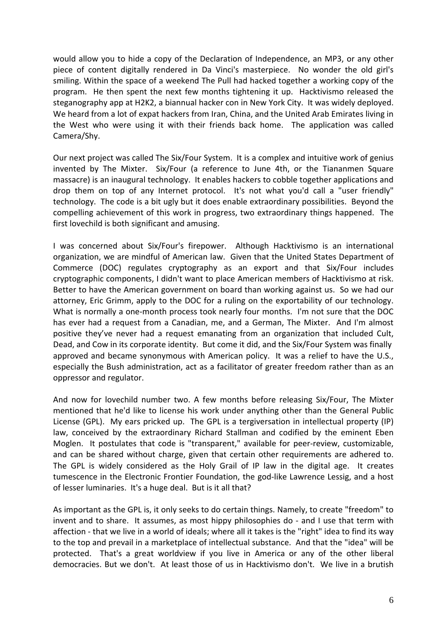would allow you to hide a copy of the Declaration of Independence, an MP3, or any other piece of content digitally rendered in Da Vinci's masterpiece. No wonder the old girl's smiling. Within the space of a weekend The Pull had hacked together a working copy of the program. He then spent the next few months tightening it up. Hacktivismo released the steganography app at H2K2, a biannual hacker con in New York City. It was widely deployed. We heard from a lot of expat hackers from Iran, China, and the United Arab Emirates living in the West who were using it with their friends back home. The application was called Camera/Shy.

Our next project was called The Six/Four System. It is a complex and intuitive work of genius invented by The Mixter. Six/Four (a reference to June 4th, or the Tiananmen Square massacre) is an inaugural technology. It enables hackers to cobble together applications and drop them on top of any Internet protocol. It's not what you'd call a "user friendly" technology. The code is a bit ugly but it does enable extraordinary possibilities. Beyond the compelling achievement of this work in progress, two extraordinary things happened. The first lovechild is both significant and amusing.

I was concerned about Six/Four's firepower. Although Hacktivismo is an international organization, we are mindful of American law. Given that the United States Department of Commerce (DOC) regulates cryptography as an export and that Six/Four includes cryptographic components, I didn't want to place American members of Hacktivismo at risk. Better to have the American government on board than working against us. So we had our attorney, Eric Grimm, apply to the DOC for a ruling on the exportability of our technology. What is normally a one-month process took nearly four months. I'm not sure that the DOC has ever had a request from a Canadian, me, and a German, The Mixter. And I'm almost positive they've never had a request emanating from an organization that included Cult, Dead, and Cow in its corporate identity. But come it did, and the Six/Four System was finally approved and became synonymous with American policy. It was a relief to have the U.S., especially the Bush administration, act as a facilitator of greater freedom rather than as an oppressor and regulator.

And now for lovechild number two. A few months before releasing Six/Four, The Mixter mentioned that he'd like to license his work under anything other than the General Public License (GPL). My ears pricked up. The GPL is a tergiversation in intellectual property (IP) law, conceived by the extraordinary Richard Stallman and codified by the eminent Eben Moglen. It postulates that code is "transparent," available for peer-review, customizable, and can be shared without charge, given that certain other requirements are adhered to. The GPL is widely considered as the Holy Grail of IP law in the digital age. It creates tumescence in the Electronic Frontier Foundation, the god-like Lawrence Lessig, and a host of lesser luminaries. It's a huge deal. But is it all that?

As important as the GPL is, it only seeks to do certain things. Namely, to create "freedom" to invent and to share. It assumes, as most hippy philosophies do - and I use that term with affection ‐ that we live in a world of ideals; where all it takes is the "right" idea to find its way to the top and prevail in a marketplace of intellectual substance. And that the "idea" will be protected. That's a great worldview if you live in America or any of the other liberal democracies. But we don't. At least those of us in Hacktivismo don't. We live in a brutish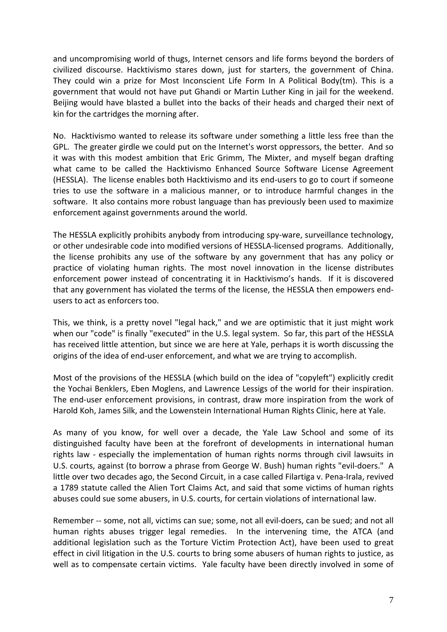and uncompromising world of thugs, Internet censors and life forms beyond the borders of civilized discourse. Hacktivismo stares down, just for starters, the government of China. They could win a prize for Most Inconscient Life Form In A Political Body(tm). This is a government that would not have put Ghandi or Martin Luther King in jail for the weekend. Beijing would have blasted a bullet into the backs of their heads and charged their next of kin for the cartridges the morning after.

No. Hacktivismo wanted to release its software under something a little less free than the GPL. The greater girdle we could put on the Internet's worst oppressors, the better. And so it was with this modest ambition that Eric Grimm, The Mixter, and myself began drafting what came to be called the Hacktivismo Enhanced Source Software License Agreement (HESSLA). The license enables both Hacktivismo and its end‐users to go to court if someone tries to use the software in a malicious manner, or to introduce harmful changes in the software. It also contains more robust language than has previously been used to maximize enforcement against governments around the world.

The HESSLA explicitly prohibits anybody from introducing spy-ware, surveillance technology, or other undesirable code into modified versions of HESSLA‐licensed programs. Additionally, the license prohibits any use of the software by any government that has any policy or practice of violating human rights. The most novel innovation in the license distributes enforcement power instead of concentrating it in Hacktivismo's hands. If it is discovered that any government has violated the terms of the license, the HESSLA then empowers end‐ users to act as enforcers too.

This, we think, is a pretty novel "legal hack," and we are optimistic that it just might work when our "code" is finally "executed" in the U.S. legal system. So far, this part of the HESSLA has received little attention, but since we are here at Yale, perhaps it is worth discussing the origins of the idea of end‐user enforcement, and what we are trying to accomplish.

Most of the provisions of the HESSLA (which build on the idea of "copyleft") explicitly credit the Yochai Benklers, Eben Moglens, and Lawrence Lessigs of the world for their inspiration. The end-user enforcement provisions, in contrast, draw more inspiration from the work of Harold Koh, James Silk, and the Lowenstein International Human Rights Clinic, here at Yale.

As many of you know, for well over a decade, the Yale Law School and some of its distinguished faculty have been at the forefront of developments in international human rights law ‐ especially the implementation of human rights norms through civil lawsuits in U.S. courts, against (to borrow a phrase from George W. Bush) human rights "evil‐doers." A little over two decades ago, the Second Circuit, in a case called Filartiga v. Pena‐Irala, revived a 1789 statute called the Alien Tort Claims Act, and said that some victims of human rights abuses could sue some abusers, in U.S. courts, for certain violations of international law.

Remember -- some, not all, victims can sue; some, not all evil-doers, can be sued; and not all human rights abuses trigger legal remedies. In the intervening time, the ATCA (and additional legislation such as the Torture Victim Protection Act), have been used to great effect in civil litigation in the U.S. courts to bring some abusers of human rights to justice, as well as to compensate certain victims. Yale faculty have been directly involved in some of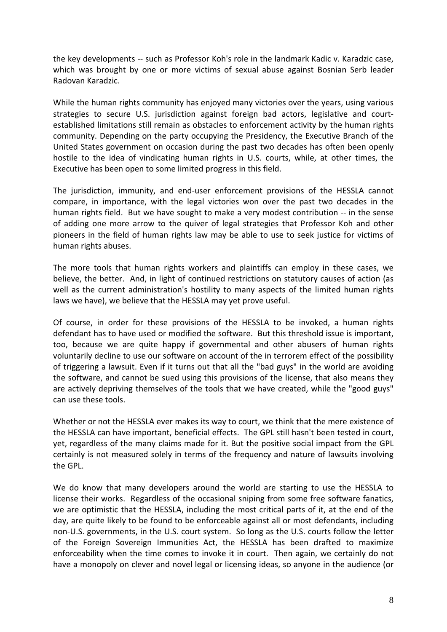the key developments ‐‐ such as Professor Koh's role in the landmark Kadic v. Karadzic case, which was brought by one or more victims of sexual abuse against Bosnian Serb leader Radovan Karadzic.

While the human rights community has enjoyed many victories over the years, using various strategies to secure U.S. jurisdiction against foreign bad actors, legislative and court‐ established limitations still remain as obstacles to enforcement activity by the human rights community. Depending on the party occupying the Presidency, the Executive Branch of the United States government on occasion during the past two decades has often been openly hostile to the idea of vindicating human rights in U.S. courts, while, at other times, the Executive has been open to some limited progress in this field.

The jurisdiction, immunity, and end‐user enforcement provisions of the HESSLA cannot compare, in importance, with the legal victories won over the past two decades in the human rights field. But we have sought to make a very modest contribution ‐‐ in the sense of adding one more arrow to the quiver of legal strategies that Professor Koh and other pioneers in the field of human rights law may be able to use to seek justice for victims of human rights abuses.

The more tools that human rights workers and plaintiffs can employ in these cases, we believe, the better. And, in light of continued restrictions on statutory causes of action (as well as the current administration's hostility to many aspects of the limited human rights laws we have), we believe that the HESSLA may yet prove useful.

Of course, in order for these provisions of the HESSLA to be invoked, a human rights defendant has to have used or modified the software. But this threshold issue is important, too, because we are quite happy if governmental and other abusers of human rights voluntarily decline to use our software on account of the in terrorem effect of the possibility of triggering a lawsuit. Even if it turns out that all the "bad guys" in the world are avoiding the software, and cannot be sued using this provisions of the license, that also means they are actively depriving themselves of the tools that we have created, while the "good guys" can use these tools.

Whether or not the HESSLA ever makes its way to court, we think that the mere existence of the HESSLA can have important, beneficial effects. The GPL still hasn't been tested in court, yet, regardless of the many claims made for it. But the positive social impact from the GPL certainly is not measured solely in terms of the frequency and nature of lawsuits involving the GPL.

We do know that many developers around the world are starting to use the HESSLA to license their works. Regardless of the occasional sniping from some free software fanatics, we are optimistic that the HESSLA, including the most critical parts of it, at the end of the day, are quite likely to be found to be enforceable against all or most defendants, including non‐U.S. governments, in the U.S. court system. So long as the U.S. courts follow the letter of the Foreign Sovereign Immunities Act, the HESSLA has been drafted to maximize enforceability when the time comes to invoke it in court. Then again, we certainly do not have a monopoly on clever and novel legal or licensing ideas, so anyone in the audience (or